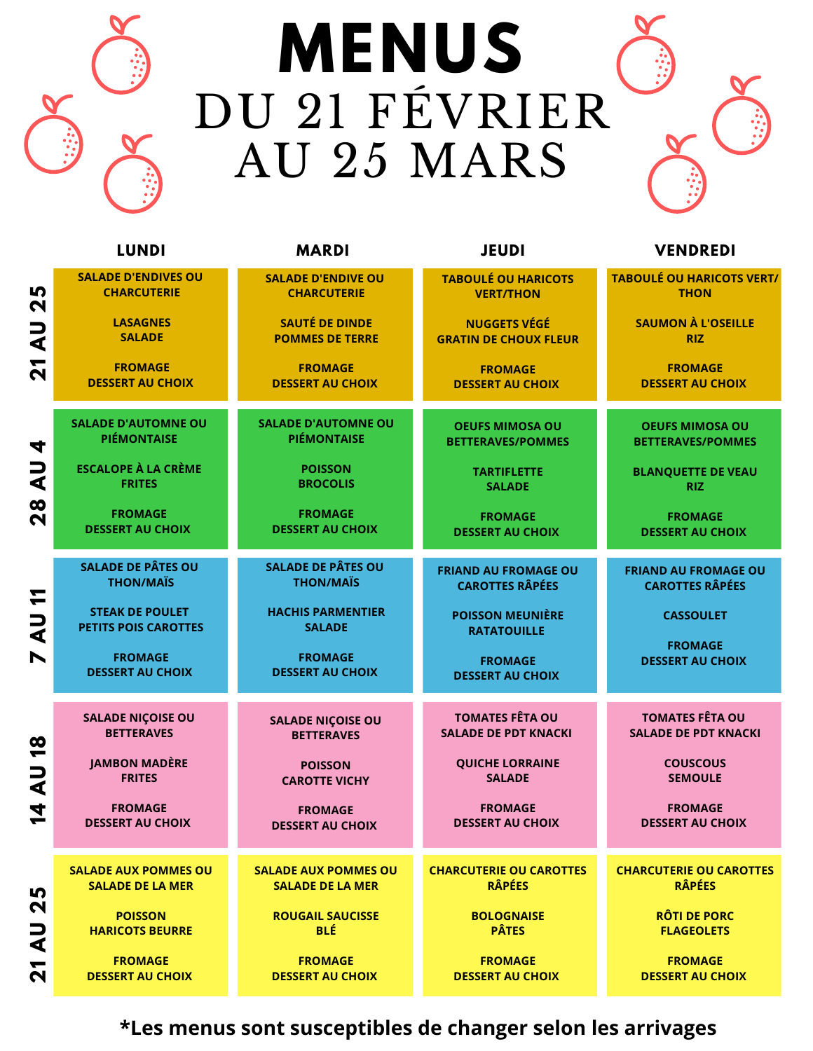## Porridge avec des **MENUS** DU 21 FÉVRIER AU 25 MARS

noix et yaourt



|                                                                     | <b>LUNDI</b>                                          | <b>MARDI</b>                              | <b>JEUDI</b>                                  | <b>VENDREDI</b>                           |
|---------------------------------------------------------------------|-------------------------------------------------------|-------------------------------------------|-----------------------------------------------|-------------------------------------------|
| Lŋ,                                                                 | <b>SALADE D'ENDIVES OU</b>                            | <b>SALADE D'ENDIVE OU</b>                 | <b>TABOULÉ OU HARICOTS</b>                    | <b>TABOULÉ OU HARICOTS VERT/</b>          |
| N                                                                   | <b>CHARCUTERIE</b>                                    | <b>CHARCUTERIE</b>                        | <b>VERT/THON</b>                              | <b>THON</b>                               |
| こく                                                                  | <b>LASAGNES</b>                                       | <b>SAUTÉ DE DINDE</b>                     | <b>NUGGETS VÉGÉ</b>                           | <b>SAUMON À L'OSEILLE</b>                 |
|                                                                     | <b>SALADE</b>                                         | <b>POMMES DE TERRE</b>                    | <b>GRATIN DE CHOUX FLEUR</b>                  | <b>RIZ</b>                                |
| <u>ีล</u>                                                           | <b>FROMAGE</b>                                        | <b>FROMAGE</b>                            | <b>FROMAGE</b>                                | <b>FROMAGE</b>                            |
|                                                                     | <b>DESSERT AU CHOIX</b>                               | <b>DESSERT AU CHOIX</b>                   | <b>DESSERT AU CHOIX</b>                       | <b>DESSERT AU CHOIX</b>                   |
| 4                                                                   | <b>SALADE D'AUTOMNE OU</b>                            | <b>SALADE D'AUTOMNE OU</b>                | <b>OEUFS MIMOSA OU</b>                        | <b>OEUFS MIMOSA OU</b>                    |
|                                                                     | <b>PIÉMONTAISE</b>                                    | <b>PIÉMONTAISE</b>                        | <b>BETTERAVES/POMMES</b>                      | <b>BETTERAVES/POMMES</b>                  |
| Ξ<br>⋖<br><u>ಇ</u>                                                  | <b>ESCALOPE À LA CRÈME</b><br><b>FRITES</b>           | <b>POISSON</b><br><b>BROCOLIS</b>         | <b>TARTIFLETTE</b><br><b>SALADE</b>           | <b>BLANQUETTE DE VEAU</b><br><b>RIZ</b>   |
|                                                                     | <b>FROMAGE</b><br><b>DESSERT AU CHOIX</b>             | <b>FROMAGE</b><br><b>DESSERT AU CHOIX</b> | <b>FROMAGE</b><br><b>DESSERT AU CHOIX</b>     | <b>FROMAGE</b><br><b>DESSERT AU CHOIX</b> |
| 11                                                                  | <b>SALADE DE PÂTES OU</b>                             | <b>SALADE DE PÂTES OU</b>                 | <b>FRIAND AU FROMAGE OU</b>                   | <b>FRIAND AU FROMAGE OU</b>               |
|                                                                     | <b>THON/MAÏS</b>                                      | <b>THON/MAÏS</b>                          | <b>CAROTTES RÂPÉES</b>                        | <b>CAROTTES RÂPÉES</b>                    |
| し<br>く                                                              | <b>STEAK DE POULET</b><br><b>PETITS POIS CAROTTES</b> | <b>HACHIS PARMENTIER</b><br><b>SALADE</b> | <b>POISSON MEUNIÈRE</b><br><b>RATATOUILLE</b> | <b>CASSOULET</b>                          |
| N                                                                   | <b>FROMAGE</b>                                        | <b>FROMAGE</b>                            | <b>FROMAGE</b>                                | <b>FROMAGE</b>                            |
|                                                                     | <b>DESSERT AU CHOIX</b>                               | <b>DESSERT AU CHOIX</b>                   | <b>DESSERT AU CHOIX</b>                       | <b>DESSERT AU CHOIX</b>                   |
|                                                                     | <b>SALADE NIÇOISE OU</b>                              | <b>SALADE NIÇOISE OU</b>                  | <b>TOMATES FÊTA OU</b>                        | <b>TOMATES FÊTA OU</b>                    |
|                                                                     | <b>BETTERAVES</b>                                     | <b>BETTERAVES</b>                         | <b>SALADE DE PDT KNACKI</b>                   | <b>SALADE DE PDT KNACKI</b>               |
| <u>ထု</u><br>し<br>く<br>4                                            | <b>JAMBON MADÈRE</b><br><b>FRITES</b>                 | <b>POISSON</b><br><b>CAROTTE VICHY</b>    | <b>QUICHE LORRAINE</b><br><b>SALADE</b>       | <b>COUSCOUS</b><br><b>SEMOULE</b>         |
|                                                                     | <b>FROMAGE</b><br><b>DESSERT AU CHOIX</b>             | <b>FROMAGE</b><br><b>DESSERT AU CHOIX</b> | <b>FROMAGE</b><br><b>DESSERT AU CHOIX</b>     | <b>FROMAGE</b><br><b>DESSERT AU CHOIX</b> |
| Ю                                                                   | <b>SALADE AUX POMMES OU</b>                           | <b>SALADE AUX POMMES OU</b>               | <b>CHARCUTERIE OU CAROTTES</b>                | <b>CHARCUTERIE OU CAROTTES</b>            |
|                                                                     | <b>SALADE DE LA MER</b>                               | <b>SALADE DE LA MER</b>                   | <b>RÂPÉES</b>                                 | <b>RÂPÉES</b>                             |
| $\boldsymbol{\mathsf{N}}$<br>Ξ<br>⋖<br>↽<br>$\overline{\mathbf{C}}$ | <b>POISSON</b><br><b>HARICOTS BEURRE</b>              | <b>ROUGAIL SAUCISSE</b><br><b>BLÉ</b>     | <b>BOLOGNAISE</b><br><b>PÂTES</b>             | <b>RÔTI DE PORC</b><br><b>FLAGEOLETS</b>  |
|                                                                     | <b>FROMAGE</b><br><b>DESSERT AU CHOIX</b>             | <b>FROMAGE</b><br><b>DESSERT AU CHOIX</b> | <b>FROMAGE</b><br><b>DESSERT AU CHOIX</b>     | <b>FROMAGE</b><br><b>DESSERT AU CHOIX</b> |

**\*Les menus sont susceptibles de changer selon les arrivages**